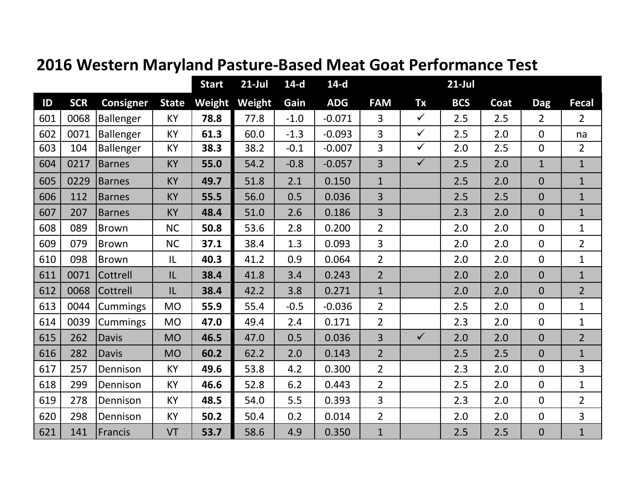|     |            |                  |              | <b>Start</b> | $21$ -Jul | $14-d$ | $14-d$     |                |              | $21$ -Jul  |      |                |                |
|-----|------------|------------------|--------------|--------------|-----------|--------|------------|----------------|--------------|------------|------|----------------|----------------|
| ID  | <b>SCR</b> | <b>Consigner</b> | <b>State</b> | Weight       | Weight    | Gain   | <b>ADG</b> | <b>FAM</b>     | <b>Tx</b>    | <b>BCS</b> | Coat | <b>Dag</b>     | <b>Fecal</b>   |
| 601 | 0068       | Ballenger        | KY           | 78.8         | 77.8      | $-1.0$ | $-0.071$   | 3              | $\checkmark$ | 2.5        | 2.5  | $\overline{2}$ | $\overline{2}$ |
| 602 | 0071       | Ballenger        | KY           | 61.3         | 60.0      | $-1.3$ | $-0.093$   | 3              | $\checkmark$ | 2.5        | 2.0  | $\mathbf{0}$   | na             |
| 603 | 104        | <b>Ballenger</b> | KY           | 38.3         | 38.2      | $-0.1$ | $-0.007$   | 3              | $\checkmark$ | 2.0        | 2.5  | $\overline{0}$ | $\overline{2}$ |
| 604 | 0217       | <b>Barnes</b>    | KY           | 55.0         | 54.2      | $-0.8$ | $-0.057$   | $\overline{3}$ | $\checkmark$ | 2.5        | 2.0  | $\mathbf{1}$   | $\mathbf{1}$   |
| 605 | 0229       | <b>Barnes</b>    | KY           | 49.7         | 51.8      | 2.1    | 0.150      | $\mathbf{1}$   |              | 2.5        | 2.0  | $\overline{0}$ | $\mathbf{1}$   |
| 606 | 112        | <b>Barnes</b>    | KY           | 55.5         | 56.0      | 0.5    | 0.036      | 3              |              | 2.5        | 2.5  | $\overline{0}$ | $\mathbf{1}$   |
| 607 | 207        | <b>Barnes</b>    | KY           | 48.4         | 51.0      | 2.6    | 0.186      | 3              |              | 2.3        | 2.0  | $\overline{0}$ | $\mathbf{1}$   |
| 608 | 089        | Brown            | <b>NC</b>    | 50.8         | 53.6      | 2.8    | 0.200      | $\overline{2}$ |              | 2.0        | 2.0  | $\Omega$       | $\mathbf 1$    |
| 609 | 079        | Brown            | <b>NC</b>    | 37.1         | 38.4      | 1.3    | 0.093      | 3              |              | 2.0        | 2.0  | $\mathbf{0}$   | $\overline{2}$ |
| 610 | 098        | Brown            | IL           | 40.3         | 41.2      | 0.9    | 0.064      | $\overline{2}$ |              | 2.0        | 2.0  | $\mathbf 0$    | $\mathbf{1}$   |
| 611 | 0071       | Cottrell         | IL           | 38.4         | 41.8      | 3.4    | 0.243      | $\overline{2}$ |              | 2.0        | 2.0  | $\overline{0}$ | $\mathbf{1}$   |
| 612 | 0068       | Cottrell         | IL           | 38.4         | 42.2      | 3.8    | 0.271      | $\overline{1}$ |              | 2.0        | 2.0  | $\overline{0}$ | $\overline{2}$ |
| 613 | 0044       | <b>Cummings</b>  | <b>MO</b>    | 55.9         | 55.4      | $-0.5$ | $-0.036$   | $\overline{2}$ |              | 2.5        | 2.0  | $\mathbf 0$    | $\mathbf 1$    |
| 614 | 0039       | <b>Cummings</b>  | <b>MO</b>    | 47.0         | 49.4      | 2.4    | 0.171      | $\overline{2}$ |              | 2.3        | 2.0  | $\mathbf 0$    | $\mathbf 1$    |
| 615 | 262        | <b>Davis</b>     | <b>MO</b>    | 46.5         | 47.0      | 0.5    | 0.036      | 3              | $\checkmark$ | 2.0        | 2.0  | $\overline{0}$ | $\overline{2}$ |
| 616 | 282        | <b>Davis</b>     | <b>MO</b>    | 60.2         | 62.2      | 2.0    | 0.143      | $\overline{2}$ |              | 2.5        | 2.5  | $\overline{0}$ | $\mathbf{1}$   |
| 617 | 257        | Dennison         | KY           | 49.6         | 53.8      | 4.2    | 0.300      | $\overline{2}$ |              | 2.3        | 2.0  | $\overline{0}$ | 3              |
| 618 | 299        | Dennison         | KY           | 46.6         | 52.8      | 6.2    | 0.443      | $\overline{2}$ |              | 2.5        | 2.0  | $\mathbf 0$    | $\mathbf 1$    |
| 619 | 278        | Dennison         | KY           | 48.5         | 54.0      | 5.5    | 0.393      | 3              |              | 2.3        | 2.0  | $\mathbf{0}$   | $\overline{2}$ |
| 620 | 298        | Dennison         | KY           | 50.2         | 50.4      | 0.2    | 0.014      | $\overline{2}$ |              | 2.0        | 2.0  | $\mathbf 0$    | $\overline{3}$ |
| 621 | 141        | Francis          | VT           | 53.7         | 58.6      | 4.9    | 0.350      | $\mathbf{1}$   |              | 2.5        | 2.5  | $\overline{0}$ | $\mathbf{1}$   |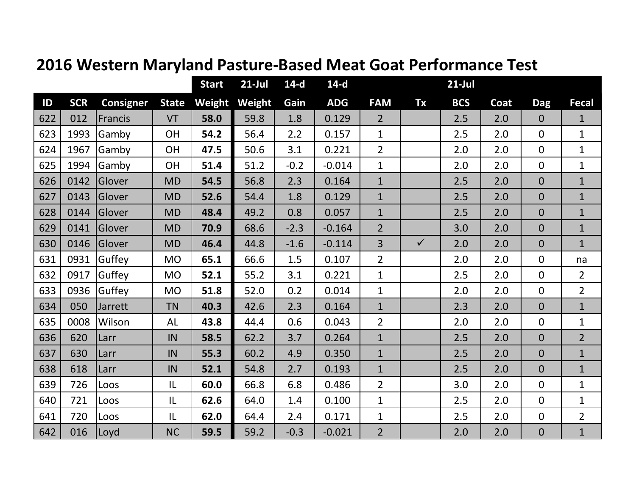|               |            |                  |              | <b>Start</b> | $21$ -Jul | $14-d$ | $14-d$     |                |              | $21$ -Jul  |      |                |                |
|---------------|------------|------------------|--------------|--------------|-----------|--------|------------|----------------|--------------|------------|------|----------------|----------------|
| $\mathsf{ID}$ | <b>SCR</b> | <b>Consigner</b> | <b>State</b> | Weight       | Weight    | Gain   | <b>ADG</b> | <b>FAM</b>     | Tx           | <b>BCS</b> | Coat | <b>Dag</b>     | <b>Fecal</b>   |
| 622           | 012        | Francis          | VT           | 58.0         | 59.8      | 1.8    | 0.129      | $\overline{2}$ |              | 2.5        | 2.0  | $\overline{0}$ | $\mathbf{1}$   |
| 623           | 1993       | Gamby            | <b>OH</b>    | 54.2         | 56.4      | 2.2    | 0.157      | $\mathbf{1}$   |              | 2.5        | 2.0  | $\Omega$       | $\mathbf{1}$   |
| 624           | 1967       | Gamby            | <b>OH</b>    | 47.5         | 50.6      | 3.1    | 0.221      | $\overline{2}$ |              | 2.0        | 2.0  | $\overline{0}$ | $\mathbf 1$    |
| 625           | 1994       | Gamby            | <b>OH</b>    | 51.4         | 51.2      | $-0.2$ | $-0.014$   | $\mathbf{1}$   |              | 2.0        | 2.0  | $\mathbf 0$    | $\mathbf{1}$   |
| 626           | 0142       | Glover           | <b>MD</b>    | 54.5         | 56.8      | 2.3    | 0.164      | $\mathbf{1}$   |              | 2.5        | 2.0  | $\overline{0}$ | $\mathbf{1}$   |
| 627           | 0143       | Glover           | <b>MD</b>    | 52.6         | 54.4      | 1.8    | 0.129      | $\mathbf{1}$   |              | 2.5        | 2.0  | $\overline{0}$ | $\mathbf{1}$   |
| 628           | 0144       | Glover           | <b>MD</b>    | 48.4         | 49.2      | 0.8    | 0.057      | $\mathbf{1}$   |              | 2.5        | 2.0  | $\overline{0}$ | $\mathbf{1}$   |
| 629           | 0141       | Glover           | <b>MD</b>    | 70.9         | 68.6      | $-2.3$ | $-0.164$   | $\overline{2}$ |              | 3.0        | 2.0  | $\overline{0}$ | $\mathbf{1}$   |
| 630           | 0146       | Glover           | <b>MD</b>    | 46.4         | 44.8      | $-1.6$ | $-0.114$   | 3              | $\checkmark$ | 2.0        | 2.0  | $\overline{0}$ | $\mathbf{1}$   |
| 631           | 0931       | Guffey           | <b>MO</b>    | 65.1         | 66.6      | 1.5    | 0.107      | $\overline{2}$ |              | 2.0        | 2.0  | $\overline{0}$ | na             |
| 632           | 0917       | Guffey           | <b>MO</b>    | 52.1         | 55.2      | 3.1    | 0.221      | $\mathbf{1}$   |              | 2.5        | 2.0  | $\overline{0}$ | $\overline{2}$ |
| 633           | 0936       | Guffey           | <b>MO</b>    | 51.8         | 52.0      | 0.2    | 0.014      | $\mathbf{1}$   |              | 2.0        | 2.0  | $\mathbf 0$    | $\overline{2}$ |
| 634           | 050        | Jarrett          | <b>TN</b>    | 40.3         | 42.6      | 2.3    | 0.164      | $\mathbf{1}$   |              | 2.3        | 2.0  | $\overline{0}$ | $\mathbf{1}$   |
| 635           | 0008       | Wilson           | <b>AL</b>    | 43.8         | 44.4      | 0.6    | 0.043      | $\overline{2}$ |              | 2.0        | 2.0  | $\overline{0}$ | $\mathbf{1}$   |
| 636           | 620        | Larr             | IN           | 58.5         | 62.2      | 3.7    | 0.264      | $\mathbf{1}$   |              | 2.5        | 2.0  | $\overline{0}$ | $\overline{2}$ |
| 637           | 630        | Larr             | IN           | 55.3         | 60.2      | 4.9    | 0.350      | $\mathbf{1}$   |              | 2.5        | 2.0  | $\overline{0}$ | $\mathbf{1}$   |
| 638           | 618        | Larr             | IN           | 52.1         | 54.8      | 2.7    | 0.193      | $\mathbf{1}$   |              | 2.5        | 2.0  | $\overline{0}$ | $\mathbf{1}$   |
| 639           | 726        | Loos             | IL           | 60.0         | 66.8      | 6.8    | 0.486      | $\overline{2}$ |              | 3.0        | 2.0  | $\overline{0}$ | $\mathbf{1}$   |
| 640           | 721        | Loos             | IL           | 62.6         | 64.0      | 1.4    | 0.100      | $\mathbf{1}$   |              | 2.5        | 2.0  | $\overline{0}$ | $\mathbf{1}$   |
| 641           | 720        | Loos             | IL           | 62.0         | 64.4      | 2.4    | 0.171      | $\mathbf{1}$   |              | 2.5        | 2.0  | $\overline{0}$ | $\overline{2}$ |
| 642           | 016        | Loyd             | <b>NC</b>    | 59.5         | 59.2      | $-0.3$ | $-0.021$   | $\overline{2}$ |              | 2.0        | 2.0  | $\mathbf{0}$   | $\mathbf{1}$   |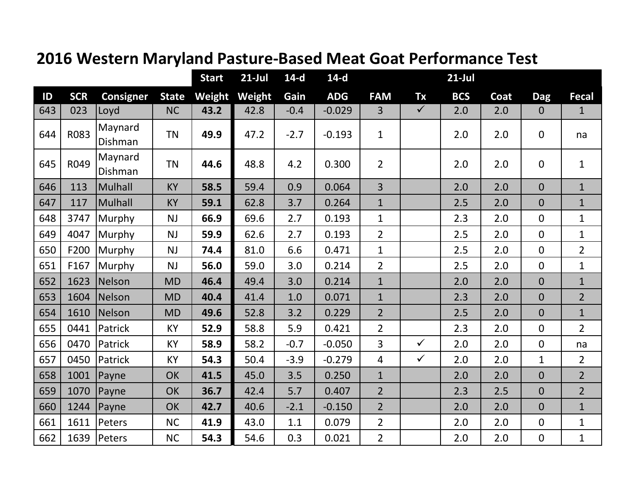|     |            |                    |              | <b>Start</b> | $21-Jul$ | $14-d$ | $14-d$     |                |              | $21$ -Jul  |      |                |                |
|-----|------------|--------------------|--------------|--------------|----------|--------|------------|----------------|--------------|------------|------|----------------|----------------|
| ID  | <b>SCR</b> | <b>Consigner</b>   | <b>State</b> | Weight       | Weight   | Gain   | <b>ADG</b> | <b>FAM</b>     | Tx           | <b>BCS</b> | Coat | <b>Dag</b>     | Fecal          |
| 643 | 023        | Loyd               | <b>NC</b>    | 43.2         | 42.8     | $-0.4$ | $-0.029$   | $\overline{3}$ | $\checkmark$ | 2.0        | 2.0  | $\mathbf{0}$   | $\mathbf{1}$   |
| 644 | R083       | Maynard<br>Dishman | <b>TN</b>    | 49.9         | 47.2     | $-2.7$ | $-0.193$   | $\mathbf{1}$   |              | 2.0        | 2.0  | $\Omega$       | na             |
| 645 | R049       | Maynard<br>Dishman | <b>TN</b>    | 44.6         | 48.8     | 4.2    | 0.300      | $\overline{2}$ |              | 2.0        | 2.0  | $\overline{0}$ | $\mathbf 1$    |
| 646 | 113        | Mulhall            | <b>KY</b>    | 58.5         | 59.4     | 0.9    | 0.064      | $\overline{3}$ |              | 2.0        | 2.0  | $\overline{0}$ | $\mathbf{1}$   |
| 647 | 117        | Mulhall            | <b>KY</b>    | 59.1         | 62.8     | 3.7    | 0.264      | $\mathbf{1}$   |              | 2.5        | 2.0  | $\overline{0}$ | $\mathbf{1}$   |
| 648 | 3747       | Murphy             | <b>NJ</b>    | 66.9         | 69.6     | 2.7    | 0.193      | $\mathbf{1}$   |              | 2.3        | 2.0  | $\overline{0}$ | $\mathbf 1$    |
| 649 | 4047       | Murphy             | <b>NJ</b>    | 59.9         | 62.6     | 2.7    | 0.193      | $\overline{2}$ |              | 2.5        | 2.0  | $\Omega$       | $\mathbf 1$    |
| 650 | F200       | Murphy             | <b>NJ</b>    | 74.4         | 81.0     | 6.6    | 0.471      | $\mathbf{1}$   |              | 2.5        | 2.0  | $\overline{0}$ | $\overline{2}$ |
| 651 | F167       | Murphy             | <b>NJ</b>    | 56.0         | 59.0     | 3.0    | 0.214      | $\overline{2}$ |              | 2.5        | 2.0  | $\overline{0}$ | $\mathbf{1}$   |
| 652 | 1623       | Nelson             | <b>MD</b>    | 46.4         | 49.4     | 3.0    | 0.214      | $\mathbf{1}$   |              | 2.0        | 2.0  | $\overline{0}$ | $\mathbf{1}$   |
| 653 | 1604       | Nelson             | <b>MD</b>    | 40.4         | 41.4     | 1.0    | 0.071      | $\mathbf{1}$   |              | 2.3        | 2.0  | $\overline{0}$ | $\overline{2}$ |
| 654 | 1610       | Nelson             | <b>MD</b>    | 49.6         | 52.8     | 3.2    | 0.229      | $\overline{2}$ |              | 2.5        | 2.0  | $\overline{0}$ | $\mathbf{1}$   |
| 655 | 0441       | Patrick            | KY           | 52.9         | 58.8     | 5.9    | 0.421      | $\overline{2}$ |              | 2.3        | 2.0  | $\overline{0}$ | $\overline{2}$ |
| 656 | 0470       | Patrick            | KY           | 58.9         | 58.2     | $-0.7$ | $-0.050$   | $\overline{3}$ | $\checkmark$ | 2.0        | 2.0  | $\overline{0}$ | na             |
| 657 | 0450       | Patrick            | KY           | 54.3         | 50.4     | $-3.9$ | $-0.279$   | $\overline{4}$ | $\checkmark$ | 2.0        | 2.0  | $\mathbf{1}$   | $\overline{2}$ |
| 658 | 1001       | Payne              | <b>OK</b>    | 41.5         | 45.0     | 3.5    | 0.250      | $\mathbf{1}$   |              | 2.0        | 2.0  | $\overline{0}$ | $\overline{2}$ |
| 659 | 1070       | Payne              | <b>OK</b>    | 36.7         | 42.4     | 5.7    | 0.407      | $\overline{2}$ |              | 2.3        | 2.5  | $\overline{0}$ | $\overline{2}$ |
| 660 | 1244       | Payne              | <b>OK</b>    | 42.7         | 40.6     | $-2.1$ | $-0.150$   | $\overline{2}$ |              | 2.0        | 2.0  | $\overline{0}$ | $\overline{1}$ |
| 661 | 1611       | Peters             | <b>NC</b>    | 41.9         | 43.0     | 1.1    | 0.079      | $\overline{2}$ |              | 2.0        | 2.0  | $\overline{0}$ | $\mathbf{1}$   |
| 662 | 1639       | Peters             | <b>NC</b>    | 54.3         | 54.6     | 0.3    | 0.021      | $\overline{2}$ |              | 2.0        | 2.0  | $\mathbf 0$    | $\mathbf 1$    |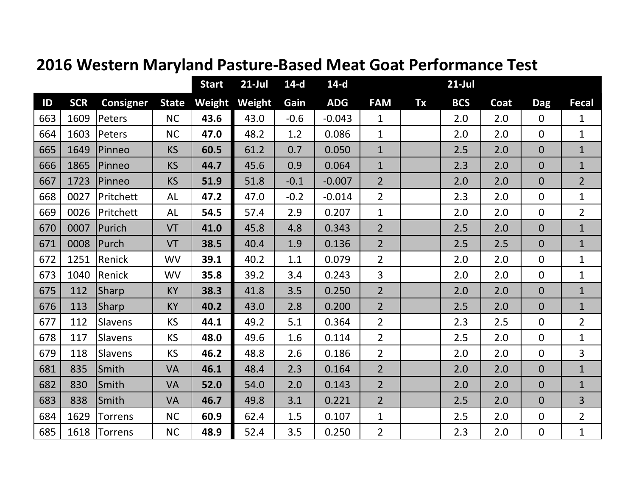|     |            |                  |              | <b>Start</b> | $21$ -Jul | $14-d$ | $14-d$     |                |           | $21$ -Jul  |      |                |                |
|-----|------------|------------------|--------------|--------------|-----------|--------|------------|----------------|-----------|------------|------|----------------|----------------|
| ID  | <b>SCR</b> | <b>Consigner</b> | <b>State</b> | Weight       | Weight    | Gain   | <b>ADG</b> | <b>FAM</b>     | <b>Tx</b> | <b>BCS</b> | Coat | <b>Dag</b>     | <b>Fecal</b>   |
| 663 | 1609       | Peters           | <b>NC</b>    | 43.6         | 43.0      | $-0.6$ | $-0.043$   | $\mathbf{1}$   |           | 2.0        | 2.0  | $\mathbf{0}$   | $\mathbf 1$    |
| 664 | 1603       | Peters           | <b>NC</b>    | 47.0         | 48.2      | 1.2    | 0.086      | $\mathbf{1}$   |           | 2.0        | 2.0  | $\overline{0}$ | $\mathbf{1}$   |
| 665 | 1649       | Pinneo           | <b>KS</b>    | 60.5         | 61.2      | 0.7    | 0.050      | $\mathbf{1}$   |           | 2.5        | 2.0  | $\overline{0}$ | $\mathbf{1}$   |
| 666 | 1865       | Pinneo           | <b>KS</b>    | 44.7         | 45.6      | 0.9    | 0.064      | $\mathbf{1}$   |           | 2.3        | 2.0  | $\overline{0}$ | $\mathbf{1}$   |
| 667 | 1723       | Pinneo           | <b>KS</b>    | 51.9         | 51.8      | $-0.1$ | $-0.007$   | $\overline{2}$ |           | 2.0        | 2.0  | $\Omega$       | $\overline{2}$ |
| 668 | 0027       | Pritchett        | <b>AL</b>    | 47.2         | 47.0      | $-0.2$ | $-0.014$   | $\overline{2}$ |           | 2.3        | 2.0  | $\overline{0}$ | $\mathbf{1}$   |
| 669 | 0026       | Pritchett        | AL           | 54.5         | 57.4      | 2.9    | 0.207      | $\mathbf{1}$   |           | 2.0        | 2.0  | $\overline{0}$ | $\overline{2}$ |
| 670 | 0007       | Purich           | VT           | 41.0         | 45.8      | 4.8    | 0.343      | $\overline{2}$ |           | 2.5        | 2.0  | $\overline{0}$ | $\mathbf{1}$   |
| 671 | 0008       | Purch            | VT           | 38.5         | 40.4      | 1.9    | 0.136      | $\overline{2}$ |           | 2.5        | 2.5  | $\overline{0}$ | $\mathbf{1}$   |
| 672 | 1251       | Renick           | <b>WV</b>    | 39.1         | 40.2      | 1.1    | 0.079      | $\overline{2}$ |           | 2.0        | 2.0  | $\overline{0}$ | $\mathbf{1}$   |
| 673 | 1040       | Renick           | <b>WV</b>    | 35.8         | 39.2      | 3.4    | 0.243      | 3              |           | 2.0        | 2.0  | $\overline{0}$ | $\mathbf{1}$   |
| 675 | 112        | Sharp            | KY           | 38.3         | 41.8      | 3.5    | 0.250      | $\overline{2}$ |           | 2.0        | 2.0  | $\overline{0}$ | $\mathbf{1}$   |
| 676 | 113        | <b>Sharp</b>     | KY           | 40.2         | 43.0      | 2.8    | 0.200      | $\overline{2}$ |           | 2.5        | 2.0  | $\overline{0}$ | $\mathbf{1}$   |
| 677 | 112        | Slavens          | <b>KS</b>    | 44.1         | 49.2      | 5.1    | 0.364      | $\overline{2}$ |           | 2.3        | 2.5  | $\overline{0}$ | $\overline{2}$ |
| 678 | 117        | <b>Slavens</b>   | <b>KS</b>    | 48.0         | 49.6      | 1.6    | 0.114      | $\overline{2}$ |           | 2.5        | 2.0  | $\Omega$       | $\mathbf 1$    |
| 679 | 118        | Slavens          | <b>KS</b>    | 46.2         | 48.8      | 2.6    | 0.186      | $\overline{2}$ |           | 2.0        | 2.0  | $\overline{0}$ | 3              |
| 681 | 835        | Smith            | <b>VA</b>    | 46.1         | 48.4      | 2.3    | 0.164      | $\overline{2}$ |           | 2.0        | 2.0  | $\Omega$       | $\mathbf{1}$   |
| 682 | 830        | Smith            | <b>VA</b>    | 52.0         | 54.0      | 2.0    | 0.143      | $\overline{2}$ |           | 2.0        | 2.0  | $\overline{0}$ | $\mathbf{1}$   |
| 683 | 838        | Smith            | <b>VA</b>    | 46.7         | 49.8      | 3.1    | 0.221      | $\overline{2}$ |           | 2.5        | 2.0  | $\Omega$       | 3              |
| 684 | 1629       | Torrens          | <b>NC</b>    | 60.9         | 62.4      | 1.5    | 0.107      | $\mathbf{1}$   |           | 2.5        | 2.0  | $\overline{0}$ | $\overline{2}$ |
| 685 | 1618       | Torrens          | <b>NC</b>    | 48.9         | 52.4      | 3.5    | 0.250      | $\overline{2}$ |           | 2.3        | 2.0  | $\mathbf 0$    | $\mathbf{1}$   |